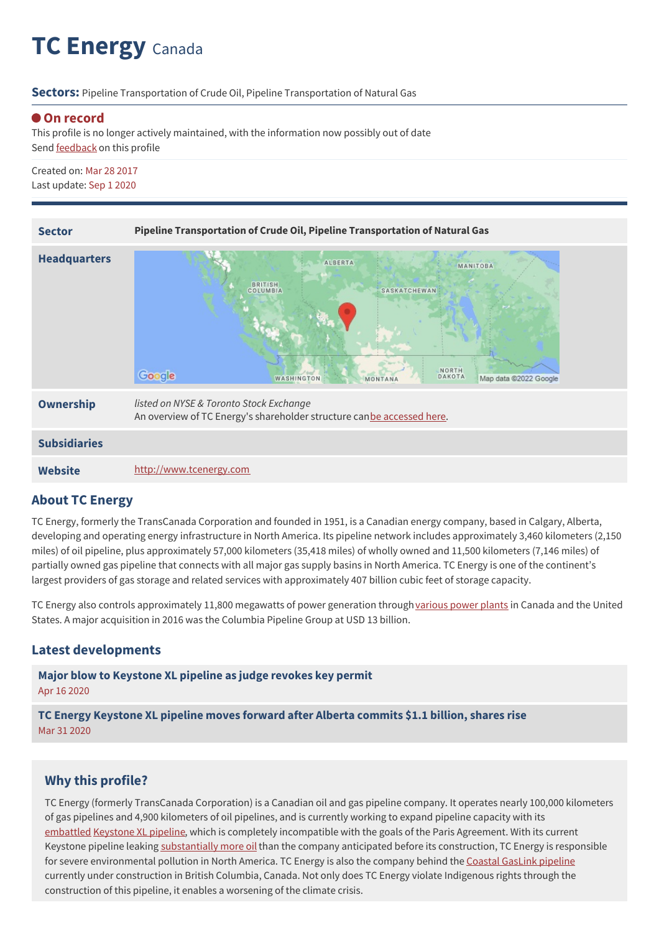# **TC Energy** Canada

**Sectors:** Pipeline Transportation of Crude Oil, Pipeline Transportation of Natural Gas

### **On record**

This profile is no longer actively maintained, with the information now possibly out of date Send **[feedback](https://www.banktrack.org/feedback/companyprofile/transcanada)** on this profile

Created on: Mar 28 2017 Last update: Sep 1 2020

| <b>Sector</b>       | Pipeline Transportation of Crude Oil, Pipeline Transportation of Natural Gas                                                                            |
|---------------------|---------------------------------------------------------------------------------------------------------------------------------------------------------|
|                     |                                                                                                                                                         |
| <b>Headquarters</b> | <b>ALBERTA</b><br>MANITOBA<br><b>BRITISH</b><br>COLUMBIA<br>SASKATCHEWAN<br>NORTH<br>Google<br>DAKOTA<br>Map data @2022 Google<br>WASHINGTON<br>MONTANA |
| Ownership           | listed on NYSE & Toronto Stock Exchange<br>An overview of TC Energy's shareholder structure canbe accessed here.                                        |
| <b>Subsidiaries</b> |                                                                                                                                                         |
| <b>Website</b>      | http://www.tcenergy.com                                                                                                                                 |

## **About TC Energy**

TC Energy, formerly the TransCanada Corporation and founded in 1951, is a Canadian energy company, based in Calgary, Alberta, developing and operating energy infrastructure in North America. Its pipeline network includes approximately 3,460 kilometers (2,150 miles) of oil pipeline, plus approximately 57,000 kilometers (35,418 miles) of wholly owned and 11,500 kilometers (7,146 miles) of partially owned gas pipeline that connects with all major gas supply basins in North America. TC Energy is one of the continent's largest providers of gas storage and related services with approximately 407 billion cubic feet of storage capacity.

TC Energy also controls approximately 11,800 megawatts of power generation through [various](https://www.tcenergy.com/operations/power/) power plants in Canada and the United States. A major acquisition in 2016 was the Columbia Pipeline Group at USD 13 billion.

## **Latest developments**

**Major blow to [Keystone](javascript:void(0)) XL pipeline as judge revokes key permit** Apr 16 2020

**TC Energy [Keystone](javascript:void(0)) XL pipeline moves forward after Alberta commits \$1.1 billion, shares rise** Mar 31 2020

## **Why this profile?**

TC Energy (formerly TransCanada Corporation) is a Canadian oil and gas pipeline company. It operates nearly 100,000 kilometers of gas pipelines and 4,900 kilometers of oil pipelines, and is currently working to expand pipeline capacity with its [embattled](https://www.nytimes.com/2018/11/09/climate/judge-blocks-keystone-pipeline.html) [Keystone](https://www.banktrack.org/project/keystone_xl_pipeline) XL pipeline, which is completely incompatible with the goals of the Paris Agreement. With its current Keystone pipeline leaking [substantially](https://www.reuters.com/article/us-usa-pipeline-keystone-spills/keystones-existing-pipeline-spills-far-more-than-predicted-to-regulators-idUSKBN1DR1CS) more oil than the company anticipated before its construction, TC Energy is responsible for severe environmental pollution in North America. TC Energy is also the company behind the Coastal [GasLink](https://www.banktrack.org/project/coastal_gaslink_pipeline) pipeline currently under construction in British Columbia, Canada. Not only does TC Energy violate Indigenous rights through the construction of this pipeline, it enables a worsening of the climate crisis.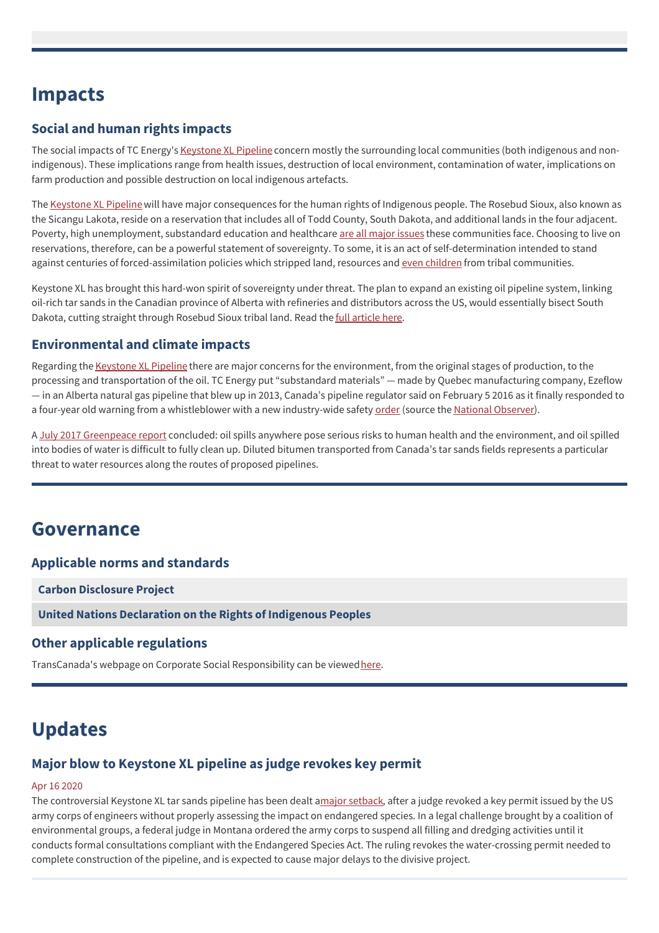## **Impacts**

## **Social and human rights impacts**

The social impacts of TC Energy's [Keystone](https://www.banktrack.org/project/keystone_xl_pipeline) XL Pipeline concern mostly the surrounding local communities (both indigenous and nonindigenous). These implications range from health issues, destruction of local environment, contamination of water, implications on farm production and possible destruction on local indigenous artefacts.

The [Keystone](https://www.banktrack.org/project/keystone_xl_pipeline) XL Pipeline will have major consequences for the human rights of Indigenous people. The Rosebud Sioux, also known as the Sicangu Lakota, reside on a reservation that includes all of Todd County, South Dakota, and additional lands in the four adjacent. Poverty, high unemployment, substandard education and healthcare are all [major](http://www.nytimes.com/2012/05/10/opinion/kristof-povertys-poster-child.html) issues these communities face. Choosing to live on reservations, therefore, can be a powerful statement of sovereignty. To some, it is an act of self-determination intended to stand against centuries of forced-assimilation policies which stripped land, resources and even [children](http://www.npr.org/templates/story/story.php?storyId=16516865) from tribal communities.

Keystone XL has brought this hard-won spirit of sovereignty under threat. The plan to expand an existing oil pipeline system, linking oil-rich tar sands in the Canadian province of Alberta with refineries and distributors across the US, would essentially bisect South Dakota, cutting straight through Rosebud Sioux tribal land. Read the **full [article](https://qz.com/348053/why-native-americans-are-fighting-keystone-xl/) here.** 

## **Environmental and climate impacts**

Regarding the [Keystone](https://www.banktrack.org/project/keystone_xl_pipeline) XL Pipeline there are major concerns for the environment, from the original stages of production, to the processing and transportation of the oil. TC Energy put "substandard materials" — made by Quebec manufacturing company, Ezeflow — in an Alberta natural gas pipeline that blew up in 2013, Canada's pipeline regulator said on February 5 2016 as it finally responded to a four-year old warning from a whistleblower with a new industry-wide safety [order](http://www.neb-one.gc.ca/sftnvrnmnt/sft/dvsr/sftdvsr/2016/2016-02-05gnrlrdr-eng.html) (source the National [Observer](http://www.nationalobserver.com/2016/02/05/news/transcanada-dismissed-whistleblower-then-their-pipeline-blew)).

A July 2017 [Greenpeace](https://www.banktrack.org/download/four_proposed_tar_sands_oil_pipelines_pose_a_threat_to_water_resources/tarsandspipelinespillreport_greenpeace_july_2017.pdf) report concluded: oil spills anywhere pose serious risks to human health and the environment, and oil spilled into bodies of water is difficult to fully clean up. Diluted bitumen transported from Canada's tar sands fields represents a particular threat to water resources along the routes of proposed pipelines.

## **Governance**

## **Applicable norms and standards**

**Carbon [Disclosure](https://www.cdp.net/en-US/Pages/HomePage.aspx) Project**

**United Nations [Declaration](http://www.un.org/esa/socdev/unpfii/documents/DRIPS_en.pdf) on the Rights of Indigenous Peoples**

## **Other applicable regulations**

TransCanada's webpage on Corporate Social Responsibility can be viewed[here](http://csrreport.transcanada.com/2015/download-csr-report.html).

## **Updates**

## **Major blow to Keystone XL pipeline as judge revokes key permit**

#### Apr 16 2020

The controversial Keystone XL tar sands pipeline has been dealt amajor [setback](https://www.theguardian.com/environment/2020/apr/15/keystone-xl-pipeline-montana-judge-environment), after a judge revoked a key permit issued by the US army corps of engineers without properly assessing the impact on endangered species. In a legal challenge brought by a coalition of environmental groups, a federal judge in Montana ordered the army corps to suspend all filling and dredging activities until it conducts formal consultations compliant with the Endangered Species Act. The ruling revokes the water-crossing permit needed to complete construction of the pipeline, and is expected to cause major delays to the divisive project.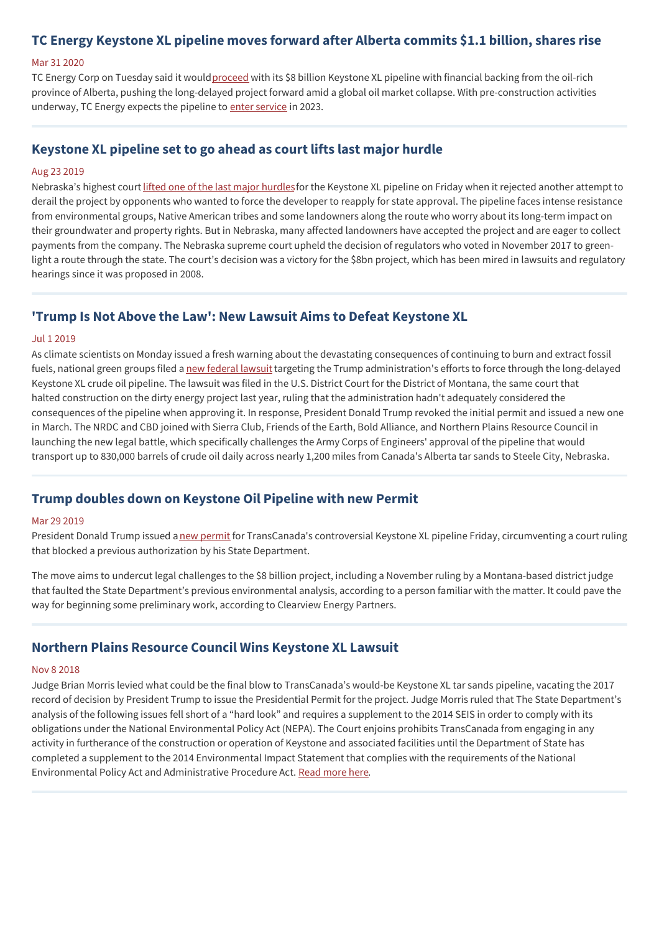## **TC Energy Keystone XL pipeline moves forward after Alberta commits \$1.1 billion, shares rise**

#### Mar 31 2020

TC Energy Corp on Tuesday said it would [proceed](https://www.reuters.com/article/us-tc-energy-keystone-xl/tc-energy-keystone-xl-pipeline-moves-forward-after-alberta-commits-1-1-billion-shares-rise-idUSKBN21I1KS) with its \$8 billion Keystone XL pipeline with financial backing from the oil-rich province of Alberta, pushing the long-delayed project forward amid a global oil market collapse. With pre-construction activities underway, TC Energy expects the pipeline to enter [service](https://www.tcenergy.com/announcements/2020-03-31tc-energy-to-build-keystone-xl-pipeline/) in 2023.

## **Keystone XL pipeline set to go ahead as court lifts last major hurdle**

#### Aug 23 2019

Nebraska's highest court lifted one of the last major [hurdles](https://www.theguardian.com/environment/2019/aug/23/nebraska-lifts-a-last-major-hurdle-for-keystone-xl-pipeline)for the Keystone XL pipeline on Friday when it rejected another attempt to derail the project by opponents who wanted to force the developer to reapply for state approval. The pipeline faces intense resistance from environmental groups, Native American tribes and some landowners along the route who worry about its long-term impact on their groundwater and property rights. But in Nebraska, many affected landowners have accepted the project and are eager to collect payments from the company. The Nebraska supreme court upheld the decision of regulators who voted in November 2017 to greenlight a route through the state. The court's decision was a victory for the \$8bn project, which has been mired in lawsuits and regulatory hearings since it was proposed in 2008.

### **'Trump Is Not Above the Law': New Lawsuit Aims to Defeat Keystone XL**

#### Jul 1 2019

As climate scientists on Monday issued a fresh warning about the devastating consequences of continuing to burn and extract fossil fuels, national green groups filed a new [federal](https://www.commondreams.org/news/2019/07/01/trump-not-above-law-new-lawsuit-aims-defeat-keystone-xl) lawsuit targeting the Trump administration's efforts to force through the long-delayed Keystone XL crude oil pipeline. The lawsuit was filed in the U.S. District Court for the District of Montana, the same court that halted construction on the dirty energy project last year, ruling that the administration hadn't adequately considered the consequences of the pipeline when approving it. In response, President Donald Trump revoked the initial permit and issued a new one in March. The NRDC and CBD joined with Sierra Club, Friends of the Earth, Bold Alliance, and Northern Plains Resource Council in launching the new legal battle, which specifically challenges the Army Corps of Engineers' approval of the pipeline that would transport up to 830,000 barrels of crude oil daily across nearly 1,200 miles from Canada's Alberta tar sands to Steele City, Nebraska.

#### **Trump doubles down on Keystone Oil Pipeline with new Permit**

#### Mar 29 2019

President Donald Trump issued a new [permit](https://www.bloomberg.com/news/articles/2019-03-29/trump-doubles-down-on-keystone-xl-pipeline-issuing-new-permit) for TransCanada's controversial Keystone XL pipeline Friday, circumventing a court ruling that blocked a previous authorization by his State Department.

The move aims to undercut legal challenges to the \$8 billion project, including a November ruling by a Montana-based district judge that faulted the State Department's previous environmental analysis, according to a person familiar with the matter. It could pave the way for beginning some preliminary work, according to Clearview Energy Partners.

## **Northern Plains Resource Council Wins Keystone XL Lawsuit**

#### Nov 8 2018

Judge Brian Morris levied what could be the final blow to TransCanada's would-be Keystone XL tar sands pipeline, vacating the 2017 record of decision by President Trump to issue the Presidential Permit for the project. Judge Morris ruled that The State Department's analysis of the following issues fell short of a "hard look" and requires a supplement to the 2014 SEIS in order to comply with its obligations under the National Environmental Policy Act (NEPA). The Court enjoins prohibits TransCanada from engaging in any activity in furtherance of the construction or operation of Keystone and associated facilities until the Department of State has completed a supplement to the 2014 Environmental Impact Statement that complies with the requirements of the National Environmental Policy Act and Administrative Procedure Act. Read [more](https://northernplains.org/northern-plains-resource-council-wins-kxl-lawsuit/) here.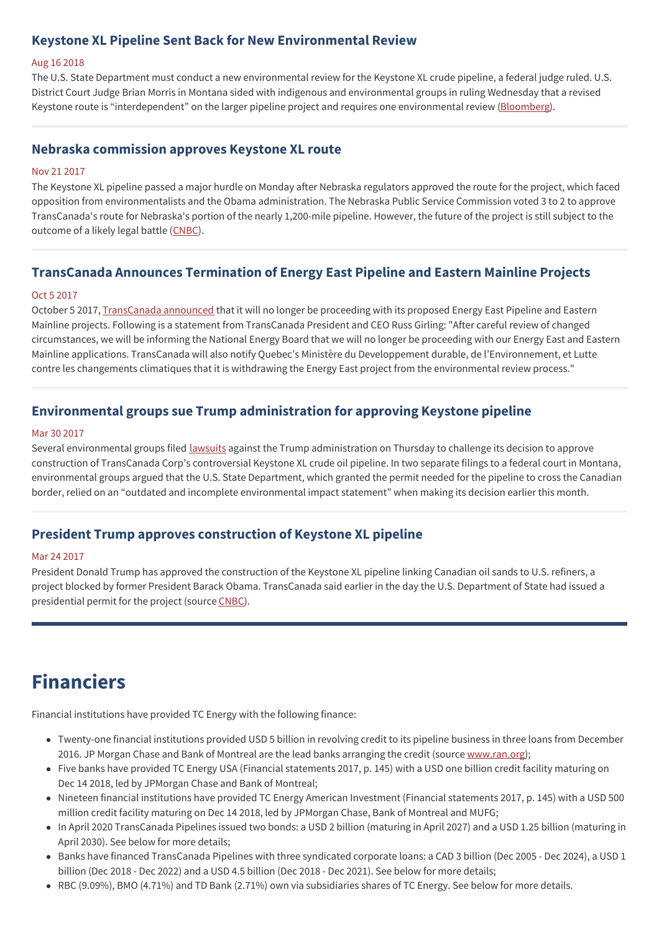## **Keystone XL Pipeline Sent Back for New Environmental Review**

#### Aug 16 2018

The U.S. State Department must conduct a new environmental review for the Keystone XL crude pipeline, a federal judge ruled. U.S. District Court Judge Brian Morris in Montana sided with indigenous and environmental groups in ruling Wednesday that a revised Keystone route is "interdependent" on the larger pipeline project and requires one environmental review ([Bloomberg](https://www.bloomberg.com/news/articles/2018-08-16/keystone-xl-oil-pipeline-sent-back-for-new-environmental-review)).

#### **Nebraska commission approves Keystone XL route**

#### Nov 21 2017

The Keystone XL pipeline passed a major hurdle on Monday after Nebraska regulators approved the route for the project, which faced opposition from environmentalists and the Obama administration. The Nebraska Public Service Commission voted 3 to 2 to approve TransCanada's route for Nebraska's portion of the nearly 1,200-mile pipeline. However, the future of the project is still subject to the outcome of a likely legal battle ([CNBC](https://www.cnbc.com/2017/11/20/nebraska-commission-approves-keystone-xl-pipeline-route.html)).

## **TransCanada Announces Termination of Energy East Pipeline and Eastern Mainline Projects**

#### Oct 5 2017

October 5 2017, [TransCanada](https://www.transcanada.com/en/announcements/2017-10-05-transcanada-anounces-termination-of-energy-east-pipeline-and-eastern-mainline-projects/) announced that it will no longer be proceeding with its proposed Energy East Pipeline and Eastern Mainline projects. Following is a statement from TransCanada President and CEO Russ Girling: "After careful review of changed circumstances, we will be informing the National Energy Board that we will no longer be proceeding with our Energy East and Eastern Mainline applications. TransCanada will also notify Quebec's Ministère du Developpement durable, de l'Environnement, et Lutte contre les changements climatiques that it is withdrawing the Energy East project from the environmental review process."

## **Environmental groups sue Trump administration for approving Keystone pipeline**

#### Mar 30 2017

Several environmental groups filed [lawsuits](https://www.reuters.com/article/us-usa-pipeline-keystone-lawsuit/environmental-groups-sue-trump-administration-for-approving-keystone-pipeline-idUSKBN1712DZ) against the Trump administration on Thursday to challenge its decision to approve construction of TransCanada Corp's controversial Keystone XL crude oil pipeline. In two separate filings to a federal court in Montana, environmental groups argued that the U.S. State Department, which granted the permit needed for the pipeline to cross the Canadian border, relied on an "outdated and incomplete environmental impact statement" when making its decision earlier this month.

## **President Trump approves construction of Keystone XL pipeline**

#### Mar 24 2017

President Donald Trump has approved the construction of the Keystone XL pipeline linking Canadian oil sands to U.S. refiners, a project blocked by former President Barack Obama. TransCanada said earlier in the day the U.S. Department of State had issued a presidential permit for the project (source [CNBC](http://www.cnbc.com/2017/03/24/transcanada-gets-presidential-permit-to-construct-the-keystone-xl-pipeline.html)).

## **Financiers**

Financial institutions have provided TC Energy with the following finance:

- Twenty-one financial institutions provided USD 5 billion in revolving credit to its pipeline business in three loans from December 2016. JP Morgan Chase and Bank of Montreal are the lead banks arranging the credit (source [www.ran.org](https://www.ran.org/whos_banking_transcanada));
- Five banks have provided TC Energy USA (Financial statements 2017, p. 145) with a USD one billion credit facility maturing on Dec 14 2018, led by JPMorgan Chase and Bank of Montreal;
- Nineteen financial institutions have provided TC Energy American Investment (Financial statements 2017, p. 145) with a USD 500 million credit facility maturing on Dec 14 2018, led by JPMorgan Chase, Bank of Montreal and MUFG;
- In April 2020 TransCanada Pipelines issued two bonds: a USD 2 billion (maturing in April 2027) and a USD 1.25 billion (maturing in April 2030). See below for more details;
- Banks have financed TransCanada Pipelines with three syndicated corporate loans: a CAD 3 billion (Dec 2005 Dec 2024), a USD 1 billion (Dec 2018 - Dec 2022) and a USD 4.5 billion (Dec 2018 - Dec 2021). See below for more details;
- RBC (9.09%), BMO (4.71%) and TD Bank (2.71%) own via subsidiaries shares of TC Energy. See below for more details.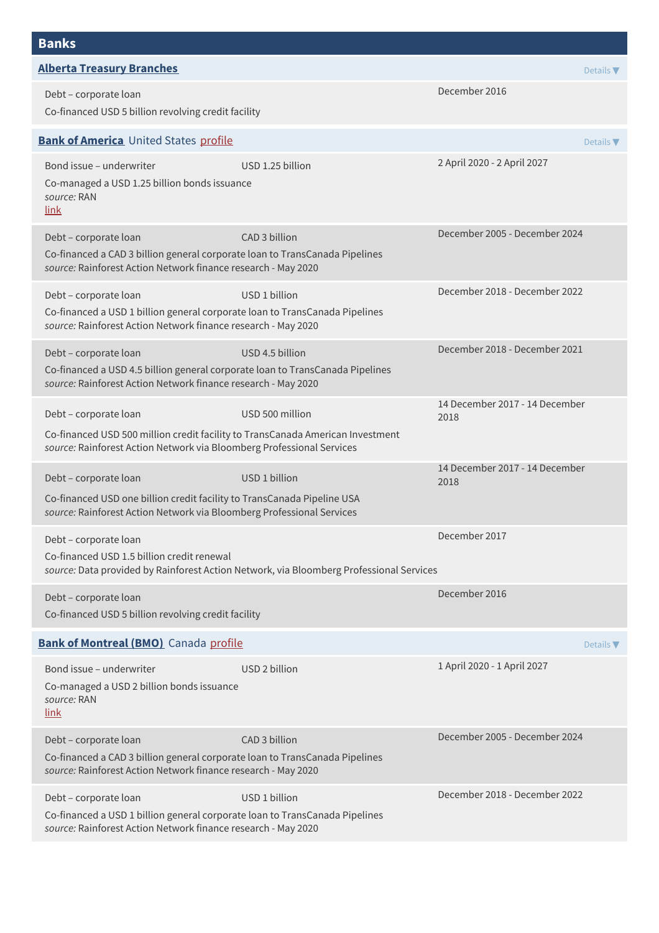| <b>Alberta Treasury Branches</b>                                                                                                                                                 |                                                                                         |                                        | Details $\nabla$             |
|----------------------------------------------------------------------------------------------------------------------------------------------------------------------------------|-----------------------------------------------------------------------------------------|----------------------------------------|------------------------------|
| Debt - corporate loan<br>Co-financed USD 5 billion revolving credit facility                                                                                                     |                                                                                         | December 2016                          |                              |
| <b>Bank of America</b> United States profile                                                                                                                                     |                                                                                         |                                        | Details $\blacktriangledown$ |
| Bond issue - underwriter<br>Co-managed a USD 1.25 billion bonds issuance<br>source: RAN<br><u>link</u>                                                                           | USD 1.25 billion                                                                        | 2 April 2020 - 2 April 2027            |                              |
| Debt - corporate loan<br>Co-financed a CAD 3 billion general corporate loan to TransCanada Pipelines<br>source: Rainforest Action Network finance research - May 2020            | CAD 3 billion                                                                           | December 2005 - December 2024          |                              |
| Debt - corporate loan<br>Co-financed a USD 1 billion general corporate loan to TransCanada Pipelines<br>source: Rainforest Action Network finance research - May 2020            | USD 1 billion                                                                           | December 2018 - December 2022          |                              |
| Debt - corporate loan<br>Co-financed a USD 4.5 billion general corporate loan to TransCanada Pipelines<br>source: Rainforest Action Network finance research - May 2020          | USD 4.5 billion                                                                         | December 2018 - December 2021          |                              |
| Debt - corporate loan<br>Co-financed USD 500 million credit facility to TransCanada American Investment<br>source: Rainforest Action Network via Bloomberg Professional Services | USD 500 million                                                                         | 14 December 2017 - 14 December<br>2018 |                              |
| Debt - corporate loan<br>Co-financed USD one billion credit facility to TransCanada Pipeline USA<br>source: Rainforest Action Network via Bloomberg Professional Services        | USD 1 billion                                                                           | 14 December 2017 - 14 December<br>2018 |                              |
| Debt - corporate loan<br>Co-financed USD 1.5 billion credit renewal                                                                                                              | source: Data provided by Rainforest Action Network, via Bloomberg Professional Services | December 2017                          |                              |
| Debt - corporate loan<br>Co-financed USD 5 billion revolving credit facility                                                                                                     |                                                                                         | December 2016                          |                              |
| <b>Bank of Montreal (BMO)</b> Canada profile                                                                                                                                     |                                                                                         |                                        | Details $\blacktriangledown$ |
| Bond issue - underwriter<br>Co-managed a USD 2 billion bonds issuance<br>source: RAN<br>link                                                                                     | USD 2 billion                                                                           | 1 April 2020 - 1 April 2027            |                              |
| Debt - corporate loan<br>Co-financed a CAD 3 billion general corporate loan to TransCanada Pipelines<br>source: Rainforest Action Network finance research - May 2020            | CAD 3 billion                                                                           | December 2005 - December 2024          |                              |
| Debt - corporate loan<br>Co-financed a USD 1 billion general corporate loan to TransCanada Pipelines<br>source: Rainforest Action Network finance research - May 2020            | USD 1 billion                                                                           | December 2018 - December 2022          |                              |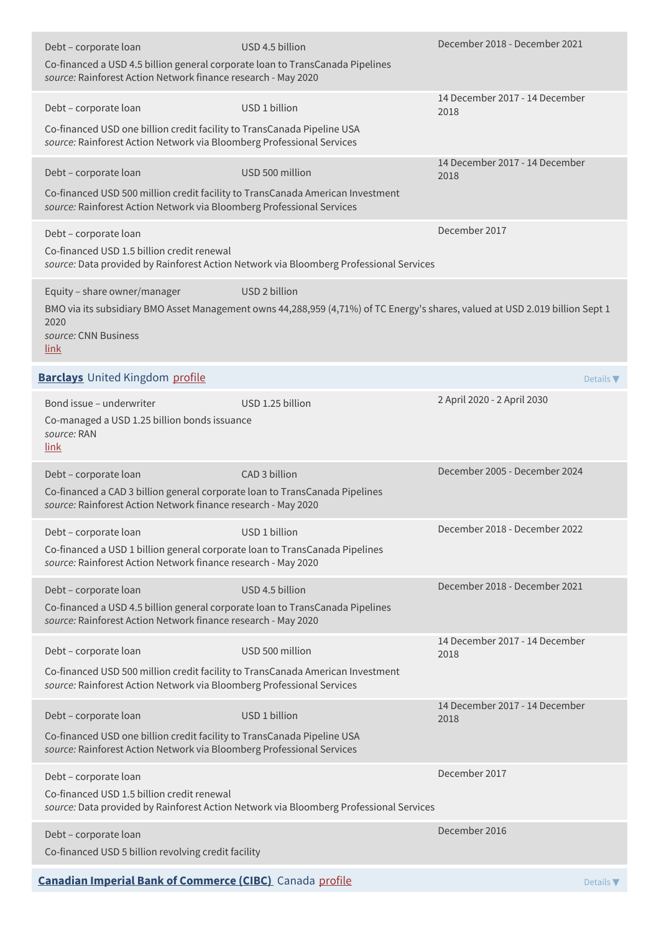| Debt - corporate loan<br>Co-financed a USD 4.5 billion general corporate loan to TransCanada Pipelines<br>source: Rainforest Action Network finance research - May 2020          | USD 4.5 billion                                                                                                                                | December 2018 - December 2021          |                  |
|----------------------------------------------------------------------------------------------------------------------------------------------------------------------------------|------------------------------------------------------------------------------------------------------------------------------------------------|----------------------------------------|------------------|
| Debt - corporate loan<br>Co-financed USD one billion credit facility to TransCanada Pipeline USA<br>source: Rainforest Action Network via Bloomberg Professional Services        | USD 1 billion                                                                                                                                  | 14 December 2017 - 14 December<br>2018 |                  |
| Debt - corporate loan<br>Co-financed USD 500 million credit facility to TransCanada American Investment<br>source: Rainforest Action Network via Bloomberg Professional Services | USD 500 million                                                                                                                                | 14 December 2017 - 14 December<br>2018 |                  |
| Debt - corporate loan<br>Co-financed USD 1.5 billion credit renewal                                                                                                              | source: Data provided by Rainforest Action Network via Bloomberg Professional Services                                                         | December 2017                          |                  |
| Equity - share owner/manager<br>2020<br>source: CNN Business<br>link                                                                                                             | USD 2 billion<br>BMO via its subsidiary BMO Asset Management owns 44,288,959 (4,71%) of TC Energy's shares, valued at USD 2.019 billion Sept 1 |                                        |                  |
| <b>Barclays</b> United Kingdom profile                                                                                                                                           |                                                                                                                                                |                                        | Details $\nabla$ |
| Bond issue - underwriter<br>Co-managed a USD 1.25 billion bonds issuance<br>source: RAN<br>link                                                                                  | USD 1.25 billion                                                                                                                               | 2 April 2020 - 2 April 2030            |                  |
| Debt - corporate loan<br>Co-financed a CAD 3 billion general corporate loan to TransCanada Pipelines<br>source: Rainforest Action Network finance research - May 2020            | CAD 3 billion                                                                                                                                  | December 2005 - December 2024          |                  |
| Debt – corporate loan<br>Co-financed a USD 1 billion general corporate loan to TransCanada Pipelines<br>source: Rainforest Action Network finance research - May 2020            | USD 1 billion                                                                                                                                  | December 2018 - December 2022          |                  |
| Debt - corporate loan<br>Co-financed a USD 4.5 billion general corporate loan to TransCanada Pipelines<br>source: Rainforest Action Network finance research - May 2020          | USD 4.5 billion                                                                                                                                | December 2018 - December 2021          |                  |
| Debt - corporate loan<br>Co-financed USD 500 million credit facility to TransCanada American Investment<br>source: Rainforest Action Network via Bloomberg Professional Services | USD 500 million                                                                                                                                | 14 December 2017 - 14 December<br>2018 |                  |
| Debt - corporate loan<br>Co-financed USD one billion credit facility to TransCanada Pipeline USA<br>source: Rainforest Action Network via Bloomberg Professional Services        | USD 1 billion                                                                                                                                  | 14 December 2017 - 14 December<br>2018 |                  |
| Debt - corporate loan<br>Co-financed USD 1.5 billion credit renewal                                                                                                              | source: Data provided by Rainforest Action Network via Bloomberg Professional Services                                                         | December 2017                          |                  |
| Debt - corporate loan<br>Co-financed USD 5 billion revolving credit facility                                                                                                     |                                                                                                                                                | December 2016                          |                  |
| <b>Canadian Imperial Bank of Commerce (CIBC)</b> Canada profile                                                                                                                  |                                                                                                                                                |                                        | Details $\nabla$ |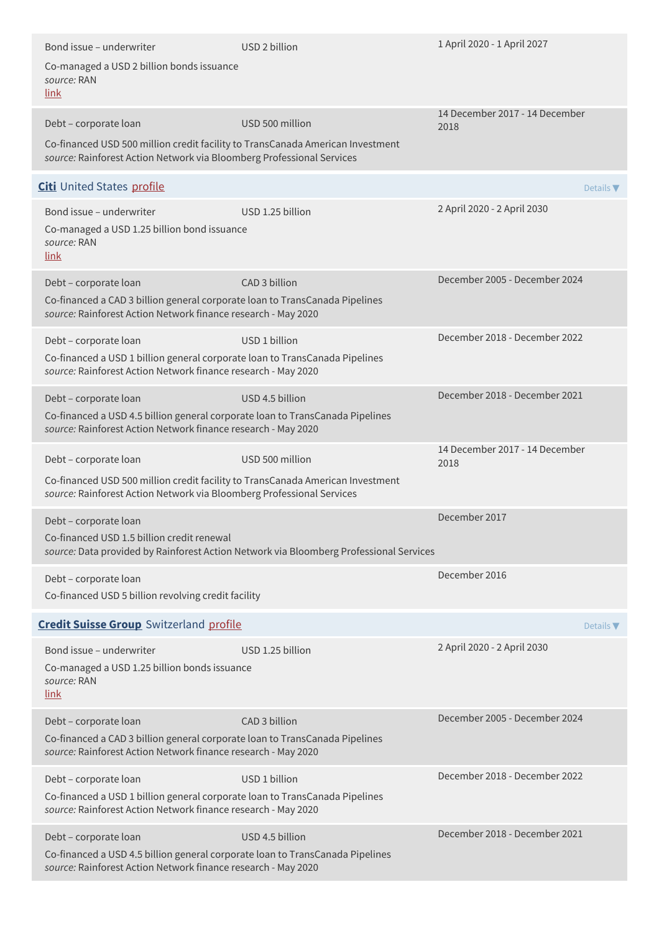| Bond issue – underwriter                                                                                                                                | USD 2 billion                                                                          | 1 April 2020 - 1 April 2027            |
|---------------------------------------------------------------------------------------------------------------------------------------------------------|----------------------------------------------------------------------------------------|----------------------------------------|
| Co-managed a USD 2 billion bonds issuance<br>source: RAN<br>link                                                                                        |                                                                                        |                                        |
| Debt - corporate loan                                                                                                                                   | USD 500 million                                                                        | 14 December 2017 - 14 December<br>2018 |
| Co-financed USD 500 million credit facility to TransCanada American Investment<br>source: Rainforest Action Network via Bloomberg Professional Services |                                                                                        |                                        |
| Citi United States profile                                                                                                                              |                                                                                        | Details $\nabla$                       |
| Bond issue - underwriter                                                                                                                                | USD 1.25 billion                                                                       | 2 April 2020 - 2 April 2030            |
| Co-managed a USD 1.25 billion bond issuance<br>source: RAN<br>link                                                                                      |                                                                                        |                                        |
| Debt - corporate loan                                                                                                                                   | CAD 3 billion                                                                          | December 2005 - December 2024          |
| Co-financed a CAD 3 billion general corporate loan to TransCanada Pipelines<br>source: Rainforest Action Network finance research - May 2020            |                                                                                        |                                        |
| Debt - corporate loan                                                                                                                                   | USD 1 billion                                                                          | December 2018 - December 2022          |
| Co-financed a USD 1 billion general corporate loan to TransCanada Pipelines<br>source: Rainforest Action Network finance research - May 2020            |                                                                                        |                                        |
| Debt - corporate loan                                                                                                                                   | USD 4.5 billion                                                                        | December 2018 - December 2021          |
| Co-financed a USD 4.5 billion general corporate loan to TransCanada Pipelines<br>source: Rainforest Action Network finance research - May 2020          |                                                                                        |                                        |
| Debt - corporate loan                                                                                                                                   | USD 500 million                                                                        | 14 December 2017 - 14 December<br>2018 |
| Co-financed USD 500 million credit facility to TransCanada American Investment<br>source: Rainforest Action Network via Bloomberg Professional Services |                                                                                        |                                        |
| Debt - corporate loan                                                                                                                                   |                                                                                        | December 2017                          |
| Co-financed USD 1.5 billion credit renewal                                                                                                              | source: Data provided by Rainforest Action Network via Bloomberg Professional Services |                                        |
| Debt - corporate loan                                                                                                                                   |                                                                                        | December 2016                          |
| Co-financed USD 5 billion revolving credit facility                                                                                                     |                                                                                        |                                        |
| <b>Credit Suisse Group</b> Switzerland profile                                                                                                          |                                                                                        | Details $\nabla$                       |
| Bond issue - underwriter                                                                                                                                | USD 1.25 billion                                                                       | 2 April 2020 - 2 April 2030            |
| Co-managed a USD 1.25 billion bonds issuance<br>source: RAN<br>link                                                                                     |                                                                                        |                                        |
| Debt - corporate loan                                                                                                                                   | CAD 3 billion                                                                          | December 2005 - December 2024          |
| Co-financed a CAD 3 billion general corporate loan to TransCanada Pipelines<br>source: Rainforest Action Network finance research - May 2020            |                                                                                        |                                        |
| Debt - corporate loan                                                                                                                                   | USD 1 billion                                                                          | December 2018 - December 2022          |
| Co-financed a USD 1 billion general corporate loan to TransCanada Pipelines<br>source: Rainforest Action Network finance research - May 2020            |                                                                                        |                                        |
| Debt - corporate loan                                                                                                                                   | USD 4.5 billion                                                                        | December 2018 - December 2021          |
| Co-financed a USD 4.5 billion general corporate loan to TransCanada Pipelines<br>source: Rainforest Action Network finance research - May 2020          |                                                                                        |                                        |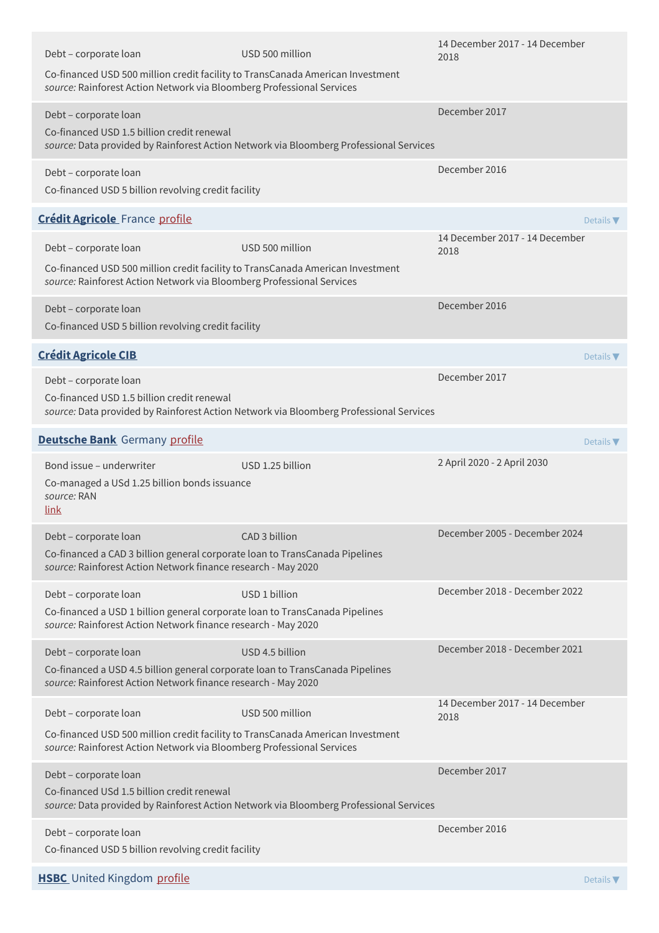| Debt - corporate loan<br>Co-financed USD 500 million credit facility to TransCanada American Investment<br>source: Rainforest Action Network via Bloomberg Professional Services | USD 500 million                                                                        | 14 December 2017 - 14 December<br>2018 |
|----------------------------------------------------------------------------------------------------------------------------------------------------------------------------------|----------------------------------------------------------------------------------------|----------------------------------------|
| Debt - corporate loan<br>Co-financed USD 1.5 billion credit renewal                                                                                                              | source: Data provided by Rainforest Action Network via Bloomberg Professional Services | December 2017                          |
| Debt - corporate loan<br>Co-financed USD 5 billion revolving credit facility                                                                                                     |                                                                                        | December 2016                          |
| <b>Crédit Agricole</b> France profile                                                                                                                                            |                                                                                        | Details $\nabla$                       |
| Debt - corporate loan                                                                                                                                                            | USD 500 million                                                                        | 14 December 2017 - 14 December<br>2018 |
| Co-financed USD 500 million credit facility to TransCanada American Investment<br>source: Rainforest Action Network via Bloomberg Professional Services                          |                                                                                        |                                        |
| Debt - corporate loan<br>Co-financed USD 5 billion revolving credit facility                                                                                                     |                                                                                        | December 2016                          |
| <b>Crédit Agricole CIB</b>                                                                                                                                                       |                                                                                        | Details $\nabla$                       |
| Debt - corporate loan<br>Co-financed USD 1.5 billion credit renewal                                                                                                              | source: Data provided by Rainforest Action Network via Bloomberg Professional Services | December 2017                          |
| <b>Deutsche Bank</b> Germany profile                                                                                                                                             |                                                                                        | Details $\nabla$                       |
| Bond issue - underwriter<br>Co-managed a USd 1.25 billion bonds issuance<br>source: RAN<br><u>link</u>                                                                           | USD 1.25 billion                                                                       | 2 April 2020 - 2 April 2030            |
| Debt - corporate loan<br>Co-financed a CAD 3 billion general corporate loan to TransCanada Pipelines<br>source: Rainforest Action Network finance research - May 2020            | CAD 3 billion                                                                          | December 2005 - December 2024          |
| Debt - corporate loan<br>Co-financed a USD 1 billion general corporate loan to TransCanada Pipelines<br>source: Rainforest Action Network finance research - May 2020            | USD 1 billion                                                                          | December 2018 - December 2022          |
| Debt - corporate loan<br>Co-financed a USD 4.5 billion general corporate loan to TransCanada Pipelines<br>source: Rainforest Action Network finance research - May 2020          | USD 4.5 billion                                                                        | December 2018 - December 2021          |
| Debt - corporate loan                                                                                                                                                            | USD 500 million                                                                        | 14 December 2017 - 14 December<br>2018 |
| Co-financed USD 500 million credit facility to TransCanada American Investment<br>source: Rainforest Action Network via Bloomberg Professional Services                          |                                                                                        |                                        |
| Debt - corporate loan<br>Co-financed USd 1.5 billion credit renewal                                                                                                              | source: Data provided by Rainforest Action Network via Bloomberg Professional Services | December 2017                          |
| Debt - corporate loan<br>Co-financed USD 5 billion revolving credit facility                                                                                                     |                                                                                        | December 2016                          |
| <b>HSBC</b> United Kingdom profile                                                                                                                                               |                                                                                        | Details $\nabla$                       |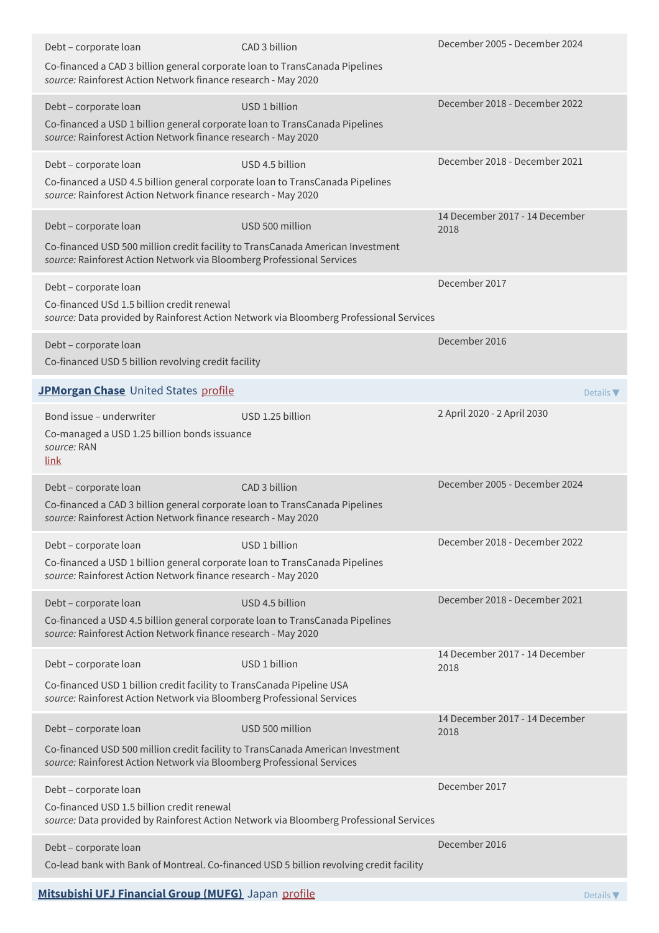| Debt - corporate loan                                                                                                                                                 | CAD 3 billion                                                                           | December 2005 - December 2024          |
|-----------------------------------------------------------------------------------------------------------------------------------------------------------------------|-----------------------------------------------------------------------------------------|----------------------------------------|
| Co-financed a CAD 3 billion general corporate loan to TransCanada Pipelines<br>source: Rainforest Action Network finance research - May 2020                          |                                                                                         |                                        |
| Debt - corporate loan                                                                                                                                                 | USD 1 billion                                                                           | December 2018 - December 2022          |
| Co-financed a USD 1 billion general corporate loan to TransCanada Pipelines<br>source: Rainforest Action Network finance research - May 2020                          |                                                                                         |                                        |
| Debt - corporate loan                                                                                                                                                 | USD 4.5 billion                                                                         | December 2018 - December 2021          |
| Co-financed a USD 4.5 billion general corporate loan to TransCanada Pipelines<br>source: Rainforest Action Network finance research - May 2020                        |                                                                                         |                                        |
| Debt - corporate loan                                                                                                                                                 | USD 500 million                                                                         | 14 December 2017 - 14 December<br>2018 |
| Co-financed USD 500 million credit facility to TransCanada American Investment<br>source: Rainforest Action Network via Bloomberg Professional Services               |                                                                                         |                                        |
| Debt - corporate loan                                                                                                                                                 |                                                                                         | December 2017                          |
| Co-financed USd 1.5 billion credit renewal                                                                                                                            | source: Data provided by Rainforest Action Network via Bloomberg Professional Services  |                                        |
| Debt - corporate loan                                                                                                                                                 |                                                                                         | December 2016                          |
| Co-financed USD 5 billion revolving credit facility                                                                                                                   |                                                                                         |                                        |
| JPMorgan Chase United States profile                                                                                                                                  |                                                                                         | Details $\nabla$                       |
| Bond issue - underwriter<br>Co-managed a USD 1.25 billion bonds issuance<br>source: RAN<br>link                                                                       | USD 1.25 billion                                                                        | 2 April 2020 - 2 April 2030            |
| Debt - corporate loan<br>Co-financed a CAD 3 billion general corporate loan to TransCanada Pipelines<br>source: Rainforest Action Network finance research - May 2020 | CAD 3 billion                                                                           | December 2005 - December 2024          |
| Debt - corporate loan                                                                                                                                                 | USD 1 billion                                                                           | December 2018 - December 2022          |
| Co-financed a USD 1 billion general corporate loan to TransCanada Pipelines<br>source: Rainforest Action Network finance research - May 2020                          |                                                                                         |                                        |
| Debt - corporate loan                                                                                                                                                 | USD 4.5 billion                                                                         | December 2018 - December 2021          |
| Co-financed a USD 4.5 billion general corporate loan to TransCanada Pipelines<br>source: Rainforest Action Network finance research - May 2020                        |                                                                                         |                                        |
| Debt - corporate loan                                                                                                                                                 | USD 1 billion                                                                           | 14 December 2017 - 14 December<br>2018 |
| Co-financed USD 1 billion credit facility to TransCanada Pipeline USA<br>source: Rainforest Action Network via Bloomberg Professional Services                        |                                                                                         |                                        |
| Debt - corporate loan                                                                                                                                                 | USD 500 million                                                                         | 14 December 2017 - 14 December<br>2018 |
| Co-financed USD 500 million credit facility to TransCanada American Investment<br>source: Rainforest Action Network via Bloomberg Professional Services               |                                                                                         |                                        |
| Debt - corporate loan<br>Co-financed USD 1.5 billion credit renewal                                                                                                   | source: Data provided by Rainforest Action Network via Bloomberg Professional Services  | December 2017                          |
| Debt - corporate loan                                                                                                                                                 | Co-lead bank with Bank of Montreal. Co-financed USD 5 billion revolving credit facility | December 2016                          |
|                                                                                                                                                                       |                                                                                         |                                        |

## **[Mitsubishi](http://www.bk.mufg.jp/global/) UFJ Financial Group (MUFG)** Japan [profile](https://www.banktrack.org/bank/bank_of_tokyo_mitsubishi_ufj) Details ▼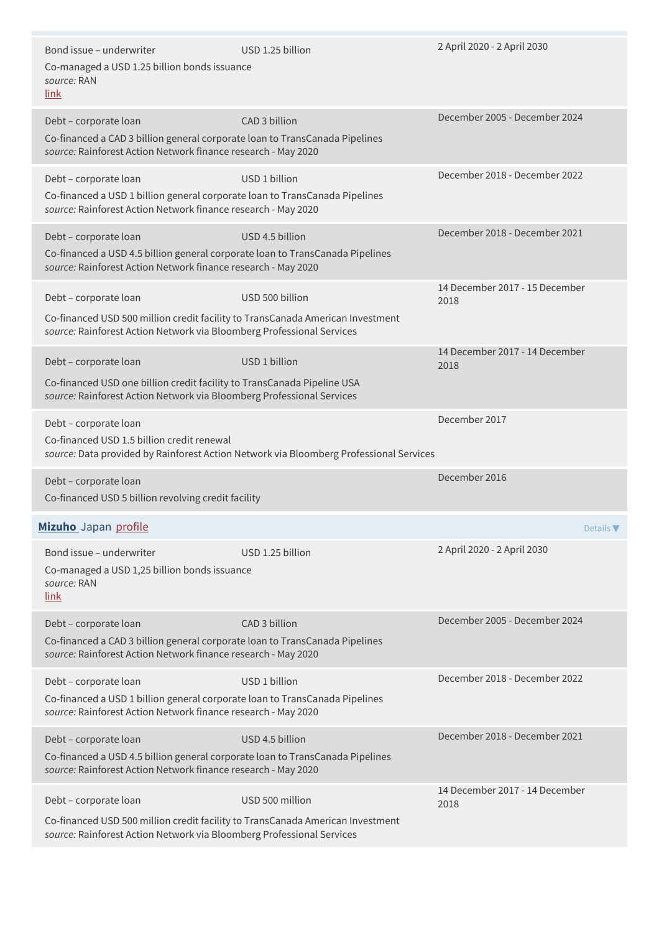| Bond issue – underwriter<br>Co-managed a USD 1.25 billion bonds issuance<br>source: RAN<br>link                                                                                  | USD 1.25 billion                                                                       | 2 April 2020 - 2 April 2030            |
|----------------------------------------------------------------------------------------------------------------------------------------------------------------------------------|----------------------------------------------------------------------------------------|----------------------------------------|
| Debt - corporate loan<br>Co-financed a CAD 3 billion general corporate loan to TransCanada Pipelines<br>source: Rainforest Action Network finance research - May 2020            | CAD 3 billion                                                                          | December 2005 - December 2024          |
| Debt - corporate loan<br>Co-financed a USD 1 billion general corporate loan to TransCanada Pipelines<br>source: Rainforest Action Network finance research - May 2020            | USD 1 billion                                                                          | December 2018 - December 2022          |
| Debt - corporate loan<br>Co-financed a USD 4.5 billion general corporate loan to TransCanada Pipelines<br>source: Rainforest Action Network finance research - May 2020          | USD 4.5 billion                                                                        | December 2018 - December 2021          |
| Debt - corporate loan<br>Co-financed USD 500 million credit facility to TransCanada American Investment<br>source: Rainforest Action Network via Bloomberg Professional Services | USD 500 billion                                                                        | 14 December 2017 - 15 December<br>2018 |
| Debt - corporate loan<br>Co-financed USD one billion credit facility to TransCanada Pipeline USA<br>source: Rainforest Action Network via Bloomberg Professional Services        | USD 1 billion                                                                          | 14 December 2017 - 14 December<br>2018 |
| Debt - corporate loan<br>Co-financed USD 1.5 billion credit renewal                                                                                                              | source: Data provided by Rainforest Action Network via Bloomberg Professional Services | December 2017                          |
| Debt - corporate loan<br>Co-financed USD 5 billion revolving credit facility                                                                                                     |                                                                                        | December 2016                          |
| Mizuho Japan profile                                                                                                                                                             |                                                                                        | Details $\nabla$                       |
| Bond issue - underwriter<br>Co-managed a USD 1,25 billion bonds issuance<br>source: RAN<br>link                                                                                  | USD 1.25 billion                                                                       | 2 April 2020 - 2 April 2030            |
| Debt - corporate loan<br>Co-financed a CAD 3 billion general corporate loan to TransCanada Pipelines<br>source: Rainforest Action Network finance research - May 2020            | CAD 3 billion                                                                          | December 2005 - December 2024          |
| Debt - corporate loan<br>Co-financed a USD 1 billion general corporate loan to TransCanada Pipelines<br>source: Rainforest Action Network finance research - May 2020            | USD 1 billion                                                                          | December 2018 - December 2022          |
| Debt - corporate loan<br>Co-financed a USD 4.5 billion general corporate loan to TransCanada Pipelines<br>source: Rainforest Action Network finance research - May 2020          | USD 4.5 billion                                                                        | December 2018 - December 2021          |
| Debt - corporate loan<br>Co-financed USD 500 million credit facility to TransCanada American Investment<br>source: Rainforest Action Network via Bloomberg Professional Services | USD 500 million                                                                        | 14 December 2017 - 14 December<br>2018 |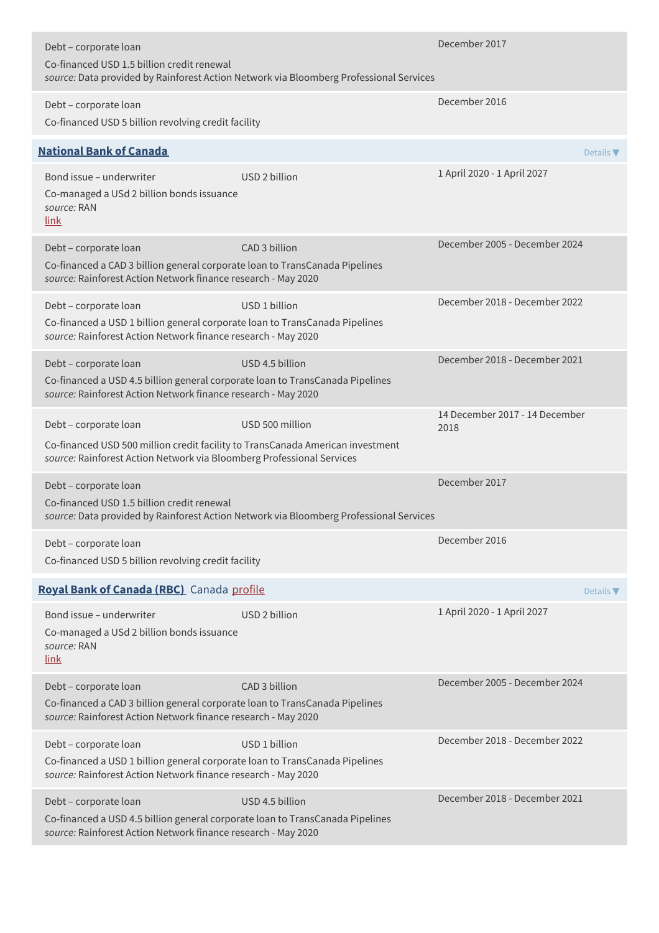| Debt - corporate loan<br>Co-financed USD 1.5 billion credit renewal                                                                                                              | source: Data provided by Rainforest Action Network via Bloomberg Professional Services | December 2017                          |
|----------------------------------------------------------------------------------------------------------------------------------------------------------------------------------|----------------------------------------------------------------------------------------|----------------------------------------|
| Debt - corporate loan<br>Co-financed USD 5 billion revolving credit facility                                                                                                     |                                                                                        | December 2016                          |
| <b>National Bank of Canada</b>                                                                                                                                                   |                                                                                        | Details $\nabla$                       |
| Bond issue – underwriter<br>Co-managed a USd 2 billion bonds issuance<br>source: RAN<br>link                                                                                     | USD 2 billion                                                                          | 1 April 2020 - 1 April 2027            |
| Debt - corporate loan<br>Co-financed a CAD 3 billion general corporate loan to TransCanada Pipelines<br>source: Rainforest Action Network finance research - May 2020            | CAD 3 billion                                                                          | December 2005 - December 2024          |
| Debt - corporate loan<br>Co-financed a USD 1 billion general corporate loan to TransCanada Pipelines<br>source: Rainforest Action Network finance research - May 2020            | USD 1 billion                                                                          | December 2018 - December 2022          |
| Debt - corporate loan<br>Co-financed a USD 4.5 billion general corporate loan to TransCanada Pipelines<br>source: Rainforest Action Network finance research - May 2020          | USD 4.5 billion                                                                        | December 2018 - December 2021          |
| Debt - corporate loan<br>Co-financed USD 500 million credit facility to TransCanada American investment<br>source: Rainforest Action Network via Bloomberg Professional Services | USD 500 million                                                                        | 14 December 2017 - 14 December<br>2018 |
| Debt - corporate loan<br>Co-financed USD 1.5 billion credit renewal                                                                                                              | source: Data provided by Rainforest Action Network via Bloomberg Professional Services | December 2017                          |
| Debt - corporate loan<br>Co-financed USD 5 billion revolving credit facility                                                                                                     |                                                                                        | December 2016                          |
| Royal Bank of Canada (RBC) Canada profile                                                                                                                                        |                                                                                        | Details $\nabla$                       |
| Bond issue - underwriter<br>Co-managed a USd 2 billion bonds issuance<br>source: RAN<br>link                                                                                     | USD 2 billion                                                                          | 1 April 2020 - 1 April 2027            |
| Debt - corporate loan<br>Co-financed a CAD 3 billion general corporate loan to TransCanada Pipelines<br>source: Rainforest Action Network finance research - May 2020            | CAD 3 billion                                                                          | December 2005 - December 2024          |
| Debt - corporate loan<br>Co-financed a USD 1 billion general corporate loan to TransCanada Pipelines<br>source: Rainforest Action Network finance research - May 2020            | USD 1 billion                                                                          | December 2018 - December 2022          |
| Debt - corporate loan<br>Co-financed a USD 4.5 billion general corporate loan to TransCanada Pipelines<br>source: Rainforest Action Network finance research - May 2020          | USD 4.5 billion                                                                        | December 2018 - December 2021          |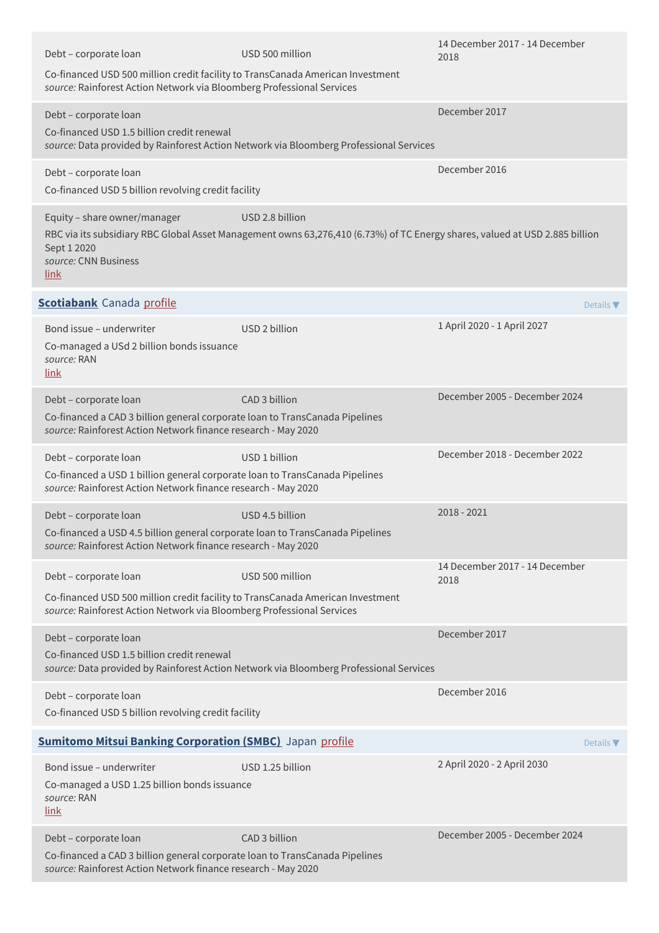| Debt - corporate loan                                                                                                                                                            | USD 500 million                                                                                                                                | 14 December 2017 - 14 December<br>2018 |
|----------------------------------------------------------------------------------------------------------------------------------------------------------------------------------|------------------------------------------------------------------------------------------------------------------------------------------------|----------------------------------------|
| Co-financed USD 500 million credit facility to TransCanada American Investment<br>source: Rainforest Action Network via Bloomberg Professional Services                          |                                                                                                                                                |                                        |
| Debt - corporate loan<br>Co-financed USD 1.5 billion credit renewal                                                                                                              | source: Data provided by Rainforest Action Network via Bloomberg Professional Services                                                         | December 2017                          |
| Debt - corporate loan<br>Co-financed USD 5 billion revolving credit facility                                                                                                     |                                                                                                                                                | December 2016                          |
| Equity - share owner/manager<br>Sept 1 2020<br>source: CNN Business<br><u>link</u>                                                                                               | USD 2.8 billion<br>RBC via its subsidiary RBC Global Asset Management owns 63,276,410 (6.73%) of TC Energy shares, valued at USD 2.885 billion |                                        |
| <b>Scotiabank</b> Canada profile                                                                                                                                                 |                                                                                                                                                | Details $\nabla$                       |
| Bond issue - underwriter<br>Co-managed a USd 2 billion bonds issuance<br>source: RAN<br>link                                                                                     | USD 2 billion                                                                                                                                  | 1 April 2020 - 1 April 2027            |
| Debt - corporate loan<br>Co-financed a CAD 3 billion general corporate loan to TransCanada Pipelines<br>source: Rainforest Action Network finance research - May 2020            | CAD 3 billion                                                                                                                                  | December 2005 - December 2024          |
| Debt - corporate loan<br>Co-financed a USD 1 billion general corporate loan to TransCanada Pipelines<br>source: Rainforest Action Network finance research - May 2020            | USD 1 billion                                                                                                                                  | December 2018 - December 2022          |
| Debt - corporate loan<br>Co-financed a USD 4.5 billion general corporate loan to TransCanada Pipelines<br>source: Rainforest Action Network finance research - May 2020          | USD 4.5 billion                                                                                                                                | 2018 - 2021                            |
| Debt - corporate loan<br>Co-financed USD 500 million credit facility to TransCanada American Investment<br>source: Rainforest Action Network via Bloomberg Professional Services | USD 500 million                                                                                                                                | 14 December 2017 - 14 December<br>2018 |
| Debt - corporate loan<br>Co-financed USD 1.5 billion credit renewal                                                                                                              | source: Data provided by Rainforest Action Network via Bloomberg Professional Services                                                         | December 2017                          |
| Debt - corporate loan<br>Co-financed USD 5 billion revolving credit facility                                                                                                     |                                                                                                                                                | December 2016                          |
| <b>Sumitomo Mitsui Banking Corporation (SMBC)</b> Japan profile                                                                                                                  |                                                                                                                                                | Details $\nabla$                       |
| Bond issue - underwriter<br>Co-managed a USD 1.25 billion bonds issuance<br>source: RAN<br><u>link</u>                                                                           | USD 1.25 billion                                                                                                                               | 2 April 2020 - 2 April 2030            |
| Debt - corporate loan<br>Co-financed a CAD 3 billion general corporate loan to TransCanada Pipelines<br>source: Rainforest Action Network finance research - May 2020            | CAD 3 billion                                                                                                                                  | December 2005 - December 2024          |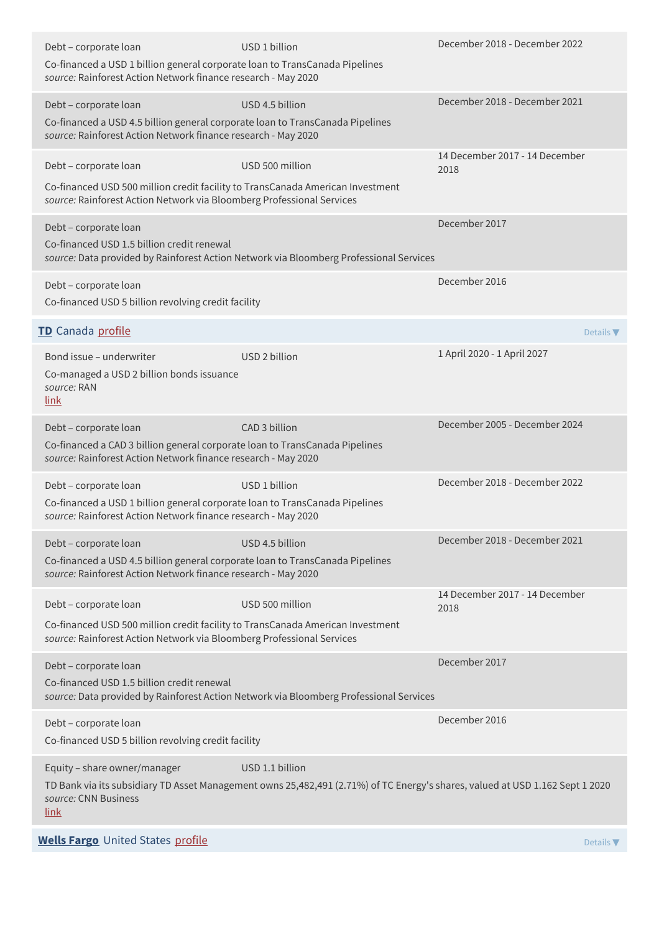| Debt - corporate loan<br>Co-financed a USD 1 billion general corporate loan to TransCanada Pipelines<br>source: Rainforest Action Network finance research - May 2020            | USD 1 billion                                                                                                                                    | December 2018 - December 2022          |
|----------------------------------------------------------------------------------------------------------------------------------------------------------------------------------|--------------------------------------------------------------------------------------------------------------------------------------------------|----------------------------------------|
| Debt - corporate loan<br>Co-financed a USD 4.5 billion general corporate loan to TransCanada Pipelines<br>source: Rainforest Action Network finance research - May 2020          | USD 4.5 billion                                                                                                                                  | December 2018 - December 2021          |
| Debt - corporate loan<br>Co-financed USD 500 million credit facility to TransCanada American Investment<br>source: Rainforest Action Network via Bloomberg Professional Services | USD 500 million                                                                                                                                  | 14 December 2017 - 14 December<br>2018 |
| Debt - corporate loan<br>Co-financed USD 1.5 billion credit renewal                                                                                                              | source: Data provided by Rainforest Action Network via Bloomberg Professional Services                                                           | December 2017                          |
| Debt - corporate loan<br>Co-financed USD 5 billion revolving credit facility                                                                                                     |                                                                                                                                                  | December 2016                          |
| TD Canada profile                                                                                                                                                                |                                                                                                                                                  | Details $\nabla$                       |
| Bond issue - underwriter<br>Co-managed a USD 2 billion bonds issuance<br>source: RAN<br>link                                                                                     | USD 2 billion                                                                                                                                    | 1 April 2020 - 1 April 2027            |
| Debt - corporate loan<br>Co-financed a CAD 3 billion general corporate loan to TransCanada Pipelines<br>source: Rainforest Action Network finance research - May 2020            | CAD 3 billion                                                                                                                                    | December 2005 - December 2024          |
| Debt - corporate loan<br>Co-financed a USD 1 billion general corporate loan to TransCanada Pipelines<br>source: Rainforest Action Network finance research - May 2020            | USD 1 billion                                                                                                                                    | December 2018 - December 2022          |
| Debt - corporate loan<br>Co-financed a USD 4.5 billion general corporate loan to TransCanada Pipelines<br>source: Rainforest Action Network finance research - May 2020          | USD 4.5 billion                                                                                                                                  | December 2018 - December 2021          |
| Debt - corporate loan<br>Co-financed USD 500 million credit facility to TransCanada American Investment<br>source: Rainforest Action Network via Bloomberg Professional Services | USD 500 million                                                                                                                                  | 14 December 2017 - 14 December<br>2018 |
| Debt - corporate loan<br>Co-financed USD 1.5 billion credit renewal                                                                                                              | source: Data provided by Rainforest Action Network via Bloomberg Professional Services                                                           | December 2017                          |
| Debt - corporate loan<br>Co-financed USD 5 billion revolving credit facility                                                                                                     |                                                                                                                                                  | December 2016                          |
| Equity - share owner/manager<br>source: CNN Business<br><u>link</u>                                                                                                              | USD 1.1 billion<br>TD Bank via its subsidiary TD Asset Management owns 25,482,491 (2.71%) of TC Energy's shares, valued at USD 1.162 Sept 1 2020 |                                        |
| <b>Wells Fargo</b> United States profile                                                                                                                                         |                                                                                                                                                  | Details $\nabla$                       |